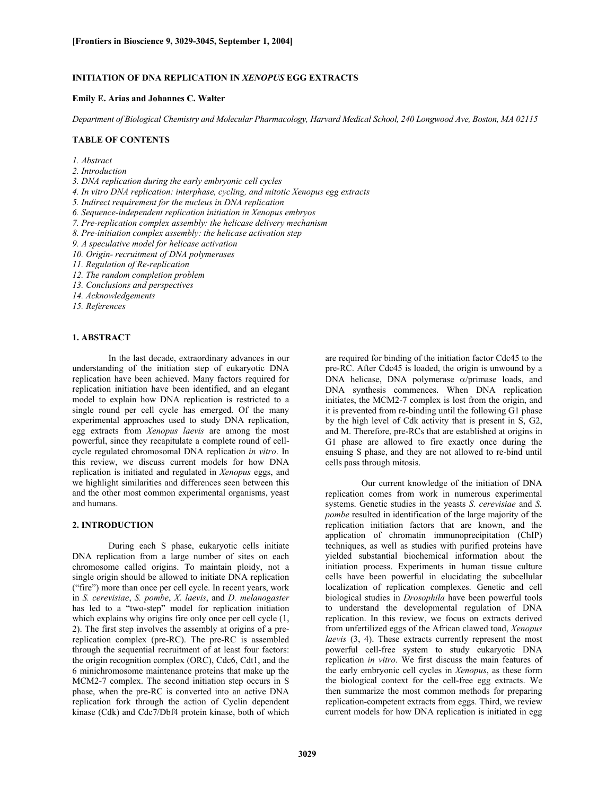# **INITIATION OF DNA REPLICATION IN** *XENOPUS* **EGG EXTRACTS**

### **Emily E. Arias and Johannes C. Walter**

*Department of Biological Chemistry and Molecular Pharmacology, Harvard Medical School, 240 Longwood Ave, Boston, MA 02115*

### **TABLE OF CONTENTS**

*1. Abstract*

*2. Introduction*

*3. DNA replication during the early embryonic cell cycles*

*4. In vitro DNA replication: interphase, cycling, and mitotic Xenopus egg extracts*

*5. Indirect requirement for the nucleus in DNA replication*

*6. Sequence-independent replication initiation in Xenopus embryos*

*7. Pre-replication complex assembly: the helicase delivery mechanism*

*8. Pre-initiation complex assembly: the helicase activation step*

*9. A speculative model for helicase activation*

*10. Origin- recruitment of DNA polymerases*

*11. Regulation of Re-replication*

*12. The random completion problem*

*13. Conclusions and perspectives*

*14. Acknowledgements*

*15. References*

## **1. ABSTRACT**

In the last decade, extraordinary advances in our understanding of the initiation step of eukaryotic DNA replication have been achieved. Many factors required for replication initiation have been identified, and an elegant model to explain how DNA replication is restricted to a single round per cell cycle has emerged. Of the many experimental approaches used to study DNA replication, egg extracts from *Xenopus laevis* are among the most powerful, since they recapitulate a complete round of cellcycle regulated chromosomal DNA replication *in vitro*. In this review, we discuss current models for how DNA replication is initiated and regulated in *Xenopus* eggs, and we highlight similarities and differences seen between this and the other most common experimental organisms, yeast and humans.

# **2. INTRODUCTION**

During each S phase, eukaryotic cells initiate DNA replication from a large number of sites on each chromosome called origins. To maintain ploidy, not a single origin should be allowed to initiate DNA replication ("fire") more than once per cell cycle. In recent years, work in *S. cerevisiae*, *S. pombe*, *X*. *laevis*, and *D. melanogaster* has led to a "two-step" model for replication initiation which explains why origins fire only once per cell cycle  $(1, 1)$ 2). The first step involves the assembly at origins of a prereplication complex (pre-RC). The pre-RC is assembled through the sequential recruitment of at least four factors: the origin recognition complex (ORC), Cdc6, Cdt1, and the 6 minichromosome maintenance proteins that make up the MCM2-7 complex. The second initiation step occurs in S phase, when the pre-RC is converted into an active DNA replication fork through the action of Cyclin dependent kinase (Cdk) and Cdc7/Dbf4 protein kinase, both of which

are required for binding of the initiation factor Cdc45 to the pre-RC. After Cdc45 is loaded, the origin is unwound by a DNA helicase, DNA polymerase  $\alpha$ /primase loads, and DNA synthesis commences. When DNA replication initiates, the MCM2-7 complex is lost from the origin, and it is prevented from re-binding until the following G1 phase by the high level of Cdk activity that is present in S, G2, and M. Therefore, pre-RCs that are established at origins in G1 phase are allowed to fire exactly once during the ensuing S phase, and they are not allowed to re-bind until cells pass through mitosis.

Our current knowledge of the initiation of DNA replication comes from work in numerous experimental systems. Genetic studies in the yeasts *S. cerevisiae* and *S. pombe* resulted in identification of the large majority of the replication initiation factors that are known, and the application of chromatin immunoprecipitation (ChIP) techniques, as well as studies with purified proteins have yielded substantial biochemical information about the initiation process. Experiments in human tissue culture cells have been powerful in elucidating the subcellular localization of replication complexes. Genetic and cell biological studies in *Drosophila* have been powerful tools to understand the developmental regulation of DNA replication. In this review, we focus on extracts derived from unfertilized eggs of the African clawed toad, *Xenopus laevis* (3, 4). These extracts currently represent the most powerful cell-free system to study eukaryotic DNA replication *in vitro*. We first discuss the main features of the early embryonic cell cycles in *Xenopus*, as these form the biological context for the cell-free egg extracts. We then summarize the most common methods for preparing replication-competent extracts from eggs. Third, we review current models for how DNA replication is initiated in egg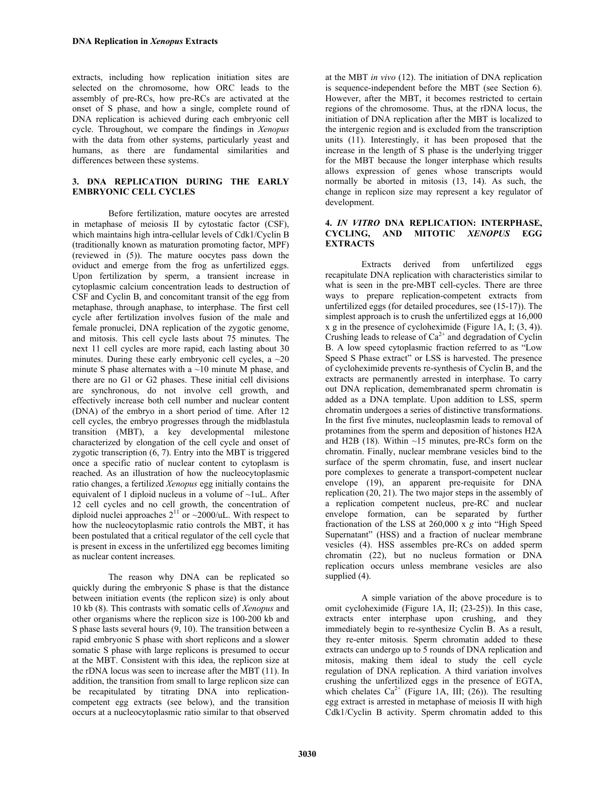extracts, including how replication initiation sites are selected on the chromosome, how ORC leads to the assembly of pre-RCs, how pre-RCs are activated at the onset of S phase, and how a single, complete round of DNA replication is achieved during each embryonic cell cycle. Throughout, we compare the findings in *Xenopus* with the data from other systems, particularly yeast and humans, as there are fundamental similarities and differences between these systems.

# **3. DNA REPLICATION DURING THE EARLY EMBRYONIC CELL CYCLES**

Before fertilization, mature oocytes are arrested in metaphase of meiosis II by cytostatic factor (CSF), which maintains high intra-cellular levels of Cdk1/Cyclin B (traditionally known as maturation promoting factor, MPF) (reviewed in (5)). The mature oocytes pass down the oviduct and emerge from the frog as unfertilized eggs. Upon fertilization by sperm, a transient increase in cytoplasmic calcium concentration leads to destruction of CSF and Cyclin B, and concomitant transit of the egg from metaphase, through anaphase, to interphase. The first cell cycle after fertilization involves fusion of the male and female pronuclei, DNA replication of the zygotic genome, and mitosis. This cell cycle lasts about 75 minutes. The next 11 cell cycles are more rapid, each lasting about 30 minutes. During these early embryonic cell cycles, a  $\sim$  20 minute S phase alternates with a  $\sim$ 10 minute M phase, and there are no G1 or G2 phases. These initial cell divisions are synchronous, do not involve cell growth, and effectively increase both cell number and nuclear content (DNA) of the embryo in a short period of time. After 12 cell cycles, the embryo progresses through the midblastula transition (MBT), a key developmental milestone characterized by elongation of the cell cycle and onset of zygotic transcription (6, 7). Entry into the MBT is triggered once a specific ratio of nuclear content to cytoplasm is reached. As an illustration of how the nucleocytoplasmic ratio changes, a fertilized *Xenopus* egg initially contains the equivalent of 1 diploid nucleus in a volume of ~1uL. After 12 cell cycles and no cell growth, the concentration of diploid nuclei approaches  $2^{11}$  or  $\sim$ 2000/uL. With respect to how the nucleocytoplasmic ratio controls the MBT, it has been postulated that a critical regulator of the cell cycle that is present in excess in the unfertilized egg becomes limiting as nuclear content increases.

The reason why DNA can be replicated so quickly during the embryonic S phase is that the distance between initiation events (the replicon size) is only about 10 kb (8). This contrasts with somatic cells of *Xenopus* and other organisms where the replicon size is 100-200 kb and S phase lasts several hours  $(9, 10)$ . The transition between a rapid embryonic S phase with short replicons and a slower somatic S phase with large replicons is presumed to occur at the MBT. Consistent with this idea, the replicon size at the rDNA locus was seen to increase after the MBT (11). In addition, the transition from small to large replicon size can be recapitulated by titrating DNA into replicationcompetent egg extracts (see below), and the transition occurs at a nucleocytoplasmic ratio similar to that observed

at the MBT *in vivo* (12). The initiation of DNA replication is sequence-independent before the MBT (see Section 6). However, after the MBT, it becomes restricted to certain regions of the chromosome. Thus, at the rDNA locus, the initiation of DNA replication after the MBT is localized to the intergenic region and is excluded from the transcription units (11). Interestingly, it has been proposed that the increase in the length of S phase is the underlying trigger for the MBT because the longer interphase which results allows expression of genes whose transcripts would normally be aborted in mitosis (13, 14). As such, the change in replicon size may represent a key regulator of development.

## **4.** *IN VITRO* **DNA REPLICATION: INTERPHASE, CYCLING, AND MITOTIC** *XENOPUS* **EGG EXTRACTS**

Extracts derived from unfertilized eggs recapitulate DNA replication with characteristics similar to what is seen in the pre-MBT cell-cycles. There are three ways to prepare replication-competent extracts from unfertilized eggs (for detailed procedures, see (15-17)). The simplest approach is to crush the unfertilized eggs at 16,000  $x$  g in the presence of cycloheximide (Figure 1A, I;  $(3, 4)$ ). Crushing leads to release of  $Ca^{2+}$  and degradation of Cyclin B. A low speed cytoplasmic fraction referred to as "Low Speed S Phase extract" or LSS is harvested. The presence of cycloheximide prevents re-synthesis of Cyclin B, and the extracts are permanently arrested in interphase. To carry out DNA replication, demembranated sperm chromatin is added as a DNA template. Upon addition to LSS, sperm chromatin undergoes a series of distinctive transformations. In the first five minutes, nucleoplasmin leads to removal of protamines from the sperm and deposition of histones H2A and H2B (18). Within  $\sim$ 15 minutes, pre-RCs form on the chromatin. Finally, nuclear membrane vesicles bind to the surface of the sperm chromatin, fuse, and insert nuclear pore complexes to generate a transport-competent nuclear envelope (19), an apparent pre-requisite for DNA replication (20, 21). The two major steps in the assembly of a replication competent nucleus, pre-RC and nuclear envelope formation, can be separated by further fractionation of the LSS at 260,000 x *g* into "High Speed Supernatant" (HSS) and a fraction of nuclear membrane vesicles (4). HSS assembles pre-RCs on added sperm chromatin (22), but no nucleus formation or DNA replication occurs unless membrane vesicles are also supplied  $(4)$ .

A simple variation of the above procedure is to omit cycloheximide (Figure 1A, II; (23-25)). In this case, extracts enter interphase upon crushing, and they immediately begin to re-synthesize Cyclin B. As a result, they re-enter mitosis. Sperm chromatin added to these extracts can undergo up to 5 rounds of DNA replication and mitosis, making them ideal to study the cell cycle regulation of DNA replication. A third variation involves crushing the unfertilized eggs in the presence of EGTA, which chelates  $Ca^{2+}$  (Figure 1A, III; (26)). The resulting egg extract is arrested in metaphase of meiosis II with high Cdk1/Cyclin B activity. Sperm chromatin added to this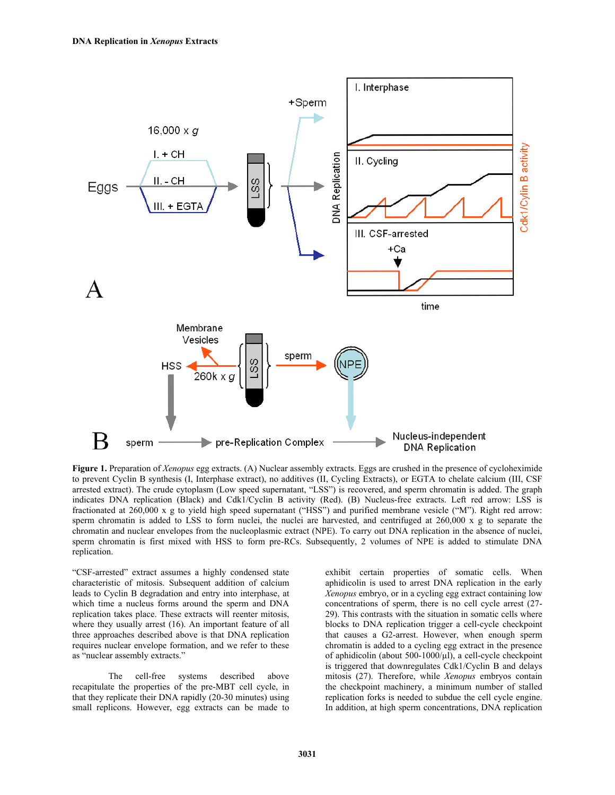

**Figure 1.** Preparation of *Xenopus* egg extracts. (A) Nuclear assembly extracts. Eggs are crushed in the presence of cycloheximide to prevent Cyclin B synthesis (I, Interphase extract), no additives (II, Cycling Extracts), or EGTA to chelate calcium (III, CSF arrested extract). The crude cytoplasm (Low speed supernatant, "LSS") is recovered, and sperm chromatin is added. The graph indicates DNA replication (Black) and Cdk1/Cyclin B activity (Red). (B) Nucleus-free extracts. Left red arrow: LSS is fractionated at 260,000 x g to yield high speed supernatant ("HSS") and purified membrane vesicle ("M"). Right red arrow: sperm chromatin is added to LSS to form nuclei, the nuclei are harvested, and centrifuged at  $260,000 \times g$  to separate the chromatin and nuclear envelopes from the nucleoplasmic extract (NPE). To carry out DNA replication in the absence of nuclei, sperm chromatin is first mixed with HSS to form pre-RCs. Subsequently, 2 volumes of NPE is added to stimulate DNA replication.

"CSF-arrested" extract assumes a highly condensed state characteristic of mitosis. Subsequent addition of calcium leads to Cyclin B degradation and entry into interphase, at which time a nucleus forms around the sperm and DNA replication takes place. These extracts will reenter mitosis, where they usually arrest (16). An important feature of all three approaches described above is that DNA replication requires nuclear envelope formation, and we refer to these as "nuclear assembly extracts."

The cell-free systems described above recapitulate the properties of the pre-MBT cell cycle, in that they replicate their DNA rapidly (20-30 minutes) using small replicons. However, egg extracts can be made to

exhibit certain properties of somatic cells. When aphidicolin is used to arrest DNA replication in the early *Xenopus* embryo, or in a cycling egg extract containing low concentrations of sperm, there is no cell cycle arrest (27- 29). This contrasts with the situation in somatic cells where blocks to DNA replication trigger a cell-cycle checkpoint that causes a G2-arrest. However, when enough sperm chromatin is added to a cycling egg extract in the presence of aphidicolin (about  $500-1000/\mu$ l), a cell-cycle checkpoint is triggered that downregulates Cdk1/Cyclin B and delays mitosis (27). Therefore, while *Xenopus* embryos contain the checkpoint machinery, a minimum number of stalled replication forks is needed to subdue the cell cycle engine. In addition, at high sperm concentrations, DNA replication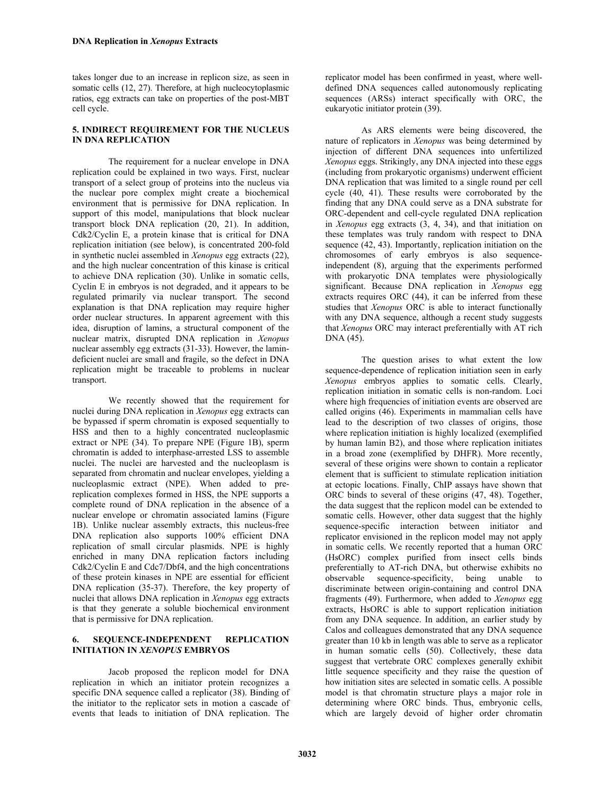takes longer due to an increase in replicon size, as seen in somatic cells (12, 27). Therefore, at high nucleocytoplasmic ratios, egg extracts can take on properties of the post-MBT cell cycle.

## **5. INDIRECT REQUIREMENT FOR THE NUCLEUS IN DNA REPLICATION**

The requirement for a nuclear envelope in DNA replication could be explained in two ways. First, nuclear transport of a select group of proteins into the nucleus via the nuclear pore complex might create a biochemical environment that is permissive for DNA replication. In support of this model, manipulations that block nuclear transport block DNA replication (20, 21). In addition, Cdk2/Cyclin E, a protein kinase that is critical for DNA replication initiation (see below), is concentrated 200-fold in synthetic nuclei assembled in *Xenopus* egg extracts (22), and the high nuclear concentration of this kinase is critical to achieve DNA replication (30). Unlike in somatic cells, Cyclin E in embryos is not degraded, and it appears to be regulated primarily via nuclear transport. The second explanation is that DNA replication may require higher order nuclear structures. In apparent agreement with this idea, disruption of lamins, a structural component of the nuclear matrix, disrupted DNA replication in *Xenopus* nuclear assembly egg extracts (31-33). However, the lamindeficient nuclei are small and fragile, so the defect in DNA replication might be traceable to problems in nuclear transport.

We recently showed that the requirement for nuclei during DNA replication in *Xenopus* egg extracts can be bypassed if sperm chromatin is exposed sequentially to HSS and then to a highly concentrated nucleoplasmic extract or NPE (34). To prepare NPE (Figure 1B), sperm chromatin is added to interphase-arrested LSS to assemble nuclei. The nuclei are harvested and the nucleoplasm is separated from chromatin and nuclear envelopes, yielding a nucleoplasmic extract (NPE). When added to prereplication complexes formed in HSS, the NPE supports a complete round of DNA replication in the absence of a nuclear envelope or chromatin associated lamins (Figure 1B). Unlike nuclear assembly extracts, this nucleus-free DNA replication also supports 100% efficient DNA replication of small circular plasmids. NPE is highly enriched in many DNA replication factors including Cdk2/Cyclin E and Cdc7/Dbf4, and the high concentrations of these protein kinases in NPE are essential for efficient DNA replication (35-37). Therefore, the key property of nuclei that allows DNA replication in *Xenopus* egg extracts is that they generate a soluble biochemical environment that is permissive for DNA replication.

# **6. SEQUENCE-INDEPENDENT REPLICATION INITIATION IN** *XENOPUS* **EMBRYOS**

Jacob proposed the replicon model for DNA replication in which an initiator protein recognizes a specific DNA sequence called a replicator (38). Binding of the initiator to the replicator sets in motion a cascade of events that leads to initiation of DNA replication. The

replicator model has been confirmed in yeast, where welldefined DNA sequences called autonomously replicating sequences (ARSs) interact specifically with ORC, the eukaryotic initiator protein (39).

As ARS elements were being discovered, the nature of replicators in *Xenopus* was being determined by injection of different DNA sequences into unfertilized *Xenopus* eggs. Strikingly, any DNA injected into these eggs (including from prokaryotic organisms) underwent efficient DNA replication that was limited to a single round per cell cycle (40, 41). These results were corroborated by the finding that any DNA could serve as a DNA substrate for ORC-dependent and cell-cycle regulated DNA replication in *Xenopus* egg extracts (3, 4, 34), and that initiation on these templates was truly random with respect to DNA sequence (42, 43). Importantly, replication initiation on the chromosomes of early embryos is also sequenceindependent (8), arguing that the experiments performed with prokaryotic DNA templates were physiologically significant. Because DNA replication in *Xenopus* egg extracts requires ORC (44), it can be inferred from these studies that *Xenopus* ORC is able to interact functionally with any DNA sequence, although a recent study suggests that *Xenopus* ORC may interact preferentially with AT rich DNA (45).

The question arises to what extent the low sequence-dependence of replication initiation seen in early *Xenopus* embryos applies to somatic cells. Clearly, replication initiation in somatic cells is non-random. Loci where high frequencies of initiation events are observed are called origins (46). Experiments in mammalian cells have lead to the description of two classes of origins, those where replication initiation is highly localized (exemplified by human lamin B2), and those where replication initiates in a broad zone (exemplified by DHFR). More recently, several of these origins were shown to contain a replicator element that is sufficient to stimulate replication initiation at ectopic locations. Finally, ChIP assays have shown that ORC binds to several of these origins (47, 48). Together, the data suggest that the replicon model can be extended to somatic cells. However, other data suggest that the highly sequence-specific interaction between initiator and replicator envisioned in the replicon model may not apply in somatic cells. We recently reported that a human ORC (HsORC) complex purified from insect cells binds preferentially to AT-rich DNA, but otherwise exhibits no observable sequence-specificity, being unable to discriminate between origin-containing and control DNA fragments (49). Furthermore, when added to *Xenopus* egg extracts, HsORC is able to support replication initiation from any DNA sequence. In addition, an earlier study by Calos and colleagues demonstrated that any DNA sequence greater than 10 kb in length was able to serve as a replicator in human somatic cells (50). Collectively, these data suggest that vertebrate ORC complexes generally exhibit little sequence specificity and they raise the question of how initiation sites are selected in somatic cells. A possible model is that chromatin structure plays a major role in determining where ORC binds. Thus, embryonic cells, which are largely devoid of higher order chromatin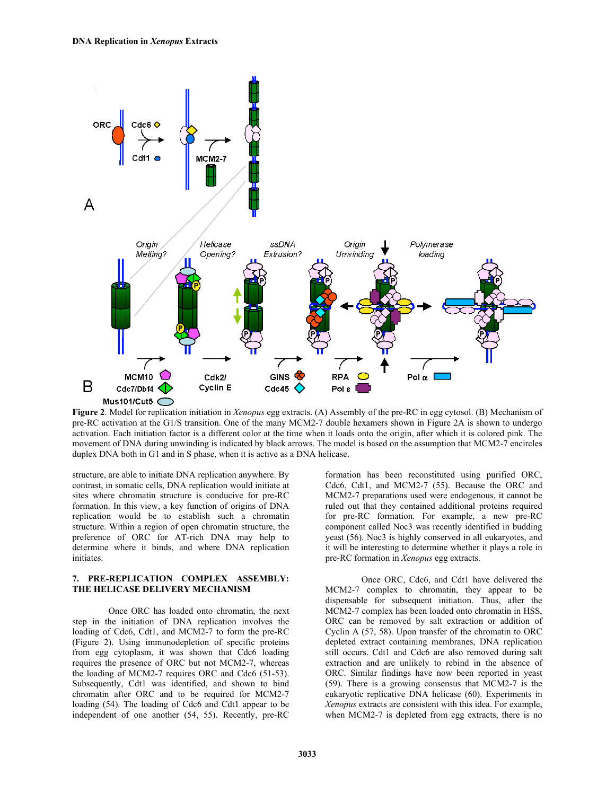

**Figure 2**. Model for replication initiation in *Xenopus* egg extracts. (A) Assembly of the pre-RC in egg cytosol. (B) Mechanism of pre-RC activation at the G1/S transition. One of the many MCM2-7 double hexamers shown in Figure 2A is shown to undergo activation. Each initiation factor is a different color at the time when it loads onto the origin, after which it is colored pink. The movement of DNA during unwinding is indicated by black arrows. The model is based on the assumption that MCM2-7 encircles duplex DNA both in G1 and in S phase, when it is active as a DNA helicase.

structure, are able to initiate DNA replication anywhere. By contrast, in somatic cells, DNA replication would initiate at sites where chromatin structure is conducive for pre-RC formation. In this view, a key function of origins of DNA replication would be to establish such a chromatin structure. Within a region of open chromatin structure, the preference of ORC for AT-rich DNA may help to determine where it binds, and where DNA replication initiates.

## **7. PRE-REPLICATION COMPLEX ASSEMBLY: THE HELICASE DELIVERY MECHANISM**

Once ORC has loaded onto chromatin, the next step in the initiation of DNA replication involves the loading of Cdc6, Cdt1, and MCM2-7 to form the pre-RC (Figure 2). Using immunodepletion of specific proteins from egg cytoplasm, it was shown that Cdc6 loading requires the presence of ORC but not MCM2-7, whereas the loading of MCM2-7 requires ORC and Cdc6 (51-53). Subsequently, Cdt1 was identified, and shown to bind chromatin after ORC and to be required for MCM2-7 loading (54). The loading of Cdc6 and Cdt1 appear to be independent of one another (54, 55). Recently, pre-RC

formation has been reconstituted using purified ORC, Cdc6, Cdt1, and MCM2-7 (55). Because the ORC and MCM2-7 preparations used were endogenous, it cannot be ruled out that they contained additional proteins required for pre-RC formation. For example, a new pre-RC component called Noc3 was recently identified in budding yeast (56). Noc3 is highly conserved in all eukaryotes, and it will be interesting to determine whether it plays a role in pre-RC formation in *Xenopus* egg extracts.

Once ORC, Cdc6, and Cdt1 have delivered the MCM2-7 complex to chromatin, they appear to be dispensable for subsequent initiation. Thus, after the MCM2-7 complex has been loaded onto chromatin in HSS, ORC can be removed by salt extraction or addition of Cyclin A (57, 58). Upon transfer of the chromatin to ORC depleted extract containing membranes, DNA replication still occurs. Cdt1 and Cdc6 are also removed during salt extraction and are unlikely to rebind in the absence of ORC. Similar findings have now been reported in yeast (59). There is a growing consensus that MCM2-7 is the eukaryotic replicative DNA helicase (60). Experiments in *Xenopus* extracts are consistent with this idea. For example, when MCM2-7 is depleted from egg extracts, there is no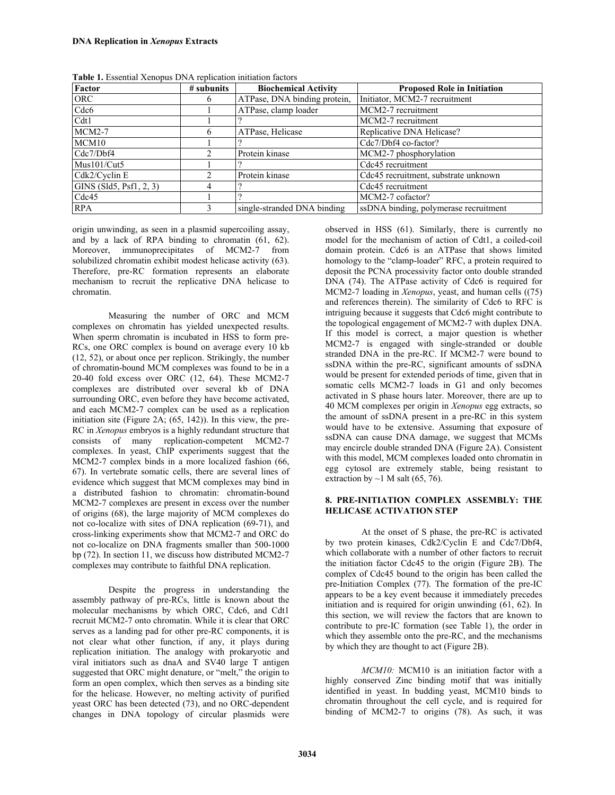| Factor                              | $#$ subunits | <b>Biochemical Activity</b>  | <b>Proposed Role in Initiation</b>    |
|-------------------------------------|--------------|------------------------------|---------------------------------------|
| <b>ORC</b>                          | 6            | ATPase, DNA binding protein, | Initiator, MCM2-7 recruitment         |
| Cdc6                                |              | ATPase, clamp loader         | MCM2-7 recruitment                    |
| Cdt1                                |              |                              | MCM2-7 recruitment                    |
| $MCM2-7$                            | h            | ATPase, Helicase             | Replicative DNA Helicase?             |
| MCM10                               |              |                              | Cdc7/Dbf4 co-factor?                  |
| Cdc7/Dbf4                           |              | Protein kinase               | MCM2-7 phosphorylation                |
| Mus101/Cut5                         |              |                              | Cdc45 recruitment                     |
| Cdk2/Cyclin E                       |              | Protein kinase               | Cdc45 recruitment, substrate unknown  |
| $\overline{GINS(Sld5, Psf1, 2, 3)}$ |              |                              | Cdc45 recruitment                     |
| Cdc45                               |              |                              | MCM2-7 cofactor?                      |
| <b>RPA</b>                          |              | single-stranded DNA binding  | ssDNA binding, polymerase recruitment |

**Table 1.** Essential Xenopus DNA replication initiation factors

origin unwinding, as seen in a plasmid supercoiling assay, and by a lack of RPA binding to chromatin (61, 62). Moreover, immunoprecipitates of MCM2-7 from solubilized chromatin exhibit modest helicase activity (63). Therefore, pre-RC formation represents an elaborate mechanism to recruit the replicative DNA helicase to chromatin.

Measuring the number of ORC and MCM complexes on chromatin has yielded unexpected results. When sperm chromatin is incubated in HSS to form pre-RCs, one ORC complex is bound on average every 10 kb (12, 52), or about once per replicon. Strikingly, the number of chromatin-bound MCM complexes was found to be in a 20-40 fold excess over ORC (12, 64). These MCM2-7 complexes are distributed over several kb of DNA surrounding ORC, even before they have become activated, and each MCM2-7 complex can be used as a replication initiation site (Figure 2A;  $(65, 142)$ ). In this view, the pre-RC in *Xenopus* embryos is a highly redundant structure that consists of many replication-competent MCM2-7 complexes. In yeast, ChIP experiments suggest that the MCM2-7 complex binds in a more localized fashion (66, 67). In vertebrate somatic cells, there are several lines of evidence which suggest that MCM complexes may bind in a distributed fashion to chromatin: chromatin-bound MCM2-7 complexes are present in excess over the number of origins (68), the large majority of MCM complexes do not co-localize with sites of DNA replication (69-71), and cross-linking experiments show that MCM2-7 and ORC do not co-localize on DNA fragments smaller than 500-1000 bp (72). In section 11, we discuss how distributed MCM2-7 complexes may contribute to faithful DNA replication.

Despite the progress in understanding the assembly pathway of pre-RCs, little is known about the molecular mechanisms by which ORC, Cdc6, and Cdt1 recruit MCM2-7 onto chromatin. While it is clear that ORC serves as a landing pad for other pre-RC components, it is not clear what other function, if any, it plays during replication initiation. The analogy with prokaryotic and viral initiators such as dnaA and SV40 large T antigen suggested that ORC might denature, or "melt," the origin to form an open complex, which then serves as a binding site for the helicase. However, no melting activity of purified yeast ORC has been detected (73), and no ORC-dependent changes in DNA topology of circular plasmids were

observed in HSS (61). Similarly, there is currently no model for the mechanism of action of Cdt1, a coiled-coil domain protein. Cdc6 is an ATPase that shows limited homology to the "clamp-loader" RFC, a protein required to deposit the PCNA processivity factor onto double stranded DNA (74). The ATPase activity of Cdc6 is required for MCM2-7 loading in *Xenopus*, yeast, and human cells ((75) and references therein). The similarity of Cdc6 to RFC is intriguing because it suggests that Cdc6 might contribute to the topological engagement of MCM2-7 with duplex DNA. If this model is correct, a major question is whether MCM2-7 is engaged with single-stranded or double stranded DNA in the pre-RC. If MCM2-7 were bound to ssDNA within the pre-RC, significant amounts of ssDNA would be present for extended periods of time, given that in somatic cells MCM2-7 loads in G1 and only becomes activated in S phase hours later. Moreover, there are up to 40 MCM complexes per origin in *Xenopus* egg extracts, so the amount of ssDNA present in a pre-RC in this system would have to be extensive. Assuming that exposure of ssDNA can cause DNA damage, we suggest that MCMs may encircle double stranded DNA (Figure 2A). Consistent with this model, MCM complexes loaded onto chromatin in egg cytosol are extremely stable, being resistant to extraction by  $\sim$  1 M salt (65, 76).

#### **8. PRE-INITIATION COMPLEX ASSEMBLY: THE HELICASE ACTIVATION STEP**

At the onset of S phase, the pre-RC is activated by two protein kinases, Cdk2/Cyclin E and Cdc7/Dbf4, which collaborate with a number of other factors to recruit the initiation factor Cdc45 to the origin (Figure 2B). The complex of Cdc45 bound to the origin has been called the pre-Initiation Complex (77). The formation of the pre-IC appears to be a key event because it immediately precedes initiation and is required for origin unwinding (61, 62). In this section, we will review the factors that are known to contribute to pre-IC formation (see Table 1), the order in which they assemble onto the pre-RC, and the mechanisms by which they are thought to act (Figure 2B).

*MCM10:* MCM10 is an initiation factor with a highly conserved Zinc binding motif that was initially identified in yeast. In budding yeast, MCM10 binds to chromatin throughout the cell cycle, and is required for binding of MCM2-7 to origins (78). As such, it was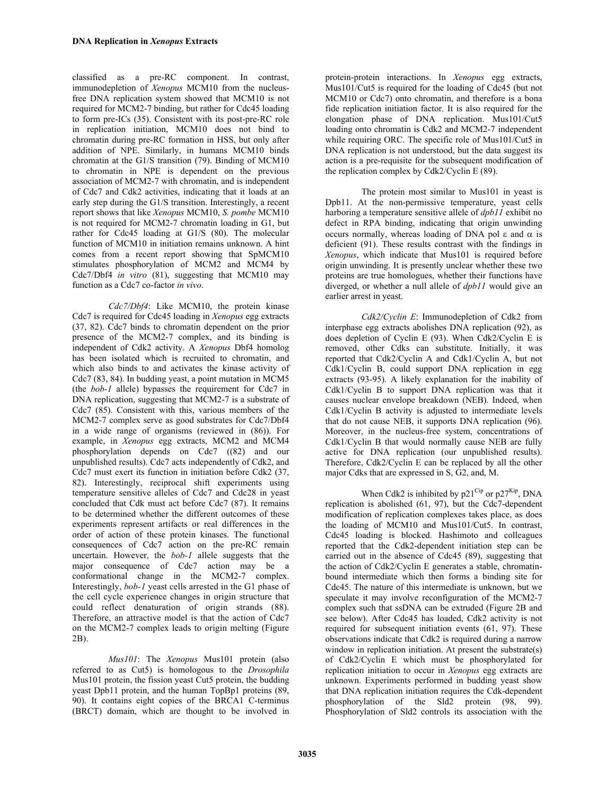classified as a pre-RC component. In contrast, immunodepletion of *Xenopus* MCM10 from the nucleusfree DNA replication system showed that MCM10 is not required for MCM2-7 binding, but rather for Cdc45 loading to form pre-ICs (35). Consistent with its post-pre-RC role in replication initiation, MCM10 does not bind to chromatin during pre-RC formation in HSS, but only after addition of NPE. Similarly, in humans MCM10 binds chromatin at the G1/S transition (79). Binding of MCM10 to chromatin in NPE is dependent on the previous association of MCM2-7 with chromatin, and is independent of Cdc7 and Cdk2 activities, indicating that it loads at an early step during the G1/S transition. Interestingly, a recent report shows that like *Xenopus* MCM10, *S. pombe* MCM10 is not required for MCM2-7 chromatin loading in G1, but rather for Cdc45 loading at G1/S (80). The molecular function of MCM10 in initiation remains unknown. A hint comes from a recent report showing that SpMCM10 stimulates phosphorylation of MCM2 and MCM4 by Cdc7/Dbf4 *in vitro* (81), suggesting that MCM10 may function as a Cdc7 co-factor *in vivo*.

*Cdc7/Dbf4*: Like MCM10, the protein kinase Cdc7 is required for Cdc45 loading in *Xenopus* egg extracts (37, 82). Cdc7 binds to chromatin dependent on the prior presence of the MCM2-7 complex, and its binding is independent of Cdk2 activity. A *Xenopus* Dbf4 homolog has been isolated which is recruited to chromatin, and which also binds to and activates the kinase activity of Cdc7 (83, 84). In budding yeast, a point mutation in MCM5 (the *bob-1* allele) bypasses the requirement for Cdc7 in DNA replication, suggesting that MCM2-7 is a substrate of Cdc7 (85). Consistent with this, various members of the MCM2-7 complex serve as good substrates for Cdc7/Dbf4 in a wide range of organisms (reviewed in (86)). For example, in *Xenopus* egg extracts, MCM2 and MCM4 phosphorylation depends on Cdc7 ((82) and our unpublished results). Cdc7 acts independently of Cdk2, and Cdc7 must exert its function in initiation before Cdk2 (37, 82). Interestingly, reciprocal shift experiments using temperature sensitive alleles of Cdc7 and Cdc28 in yeast concluded that Cdk must act before Cdc7 (87). It remains to be determined whether the different outcomes of these experiments represent artifacts or real differences in the order of action of these protein kinases. The functional consequences of Cdc7 action on the pre-RC remain uncertain. However, the *bob-1* allele suggests that the major consequence of Cdc7 action may be a conformational change in the MCM2-7 complex. Interestingly, *bob-1* yeast cells arrested in the G1 phase of the cell cycle experience changes in origin structure that could reflect denaturation of origin strands (88). Therefore, an attractive model is that the action of Cdc7 on the MCM2-7 complex leads to origin melting (Figure 2B).

*Mus101*: The *Xenopus* Mus101 protein (also referred to as Cut5) is homologous to the *Drosophila* Mus101 protein, the fission yeast Cut5 protein, the budding yeast Dpb11 protein, and the human TopBp1 proteins (89, 90). It contains eight copies of the BRCA1 C-terminus (BRCT) domain, which are thought to be involved in

protein-protein interactions. In *Xenopus* egg extracts, Mus101/Cut5 is required for the loading of Cdc45 (but not MCM10 or Cdc7) onto chromatin, and therefore is a bona fide replication initiation factor. It is also required for the elongation phase of DNA replication. Mus101/Cut5 loading onto chromatin is Cdk2 and MCM2-7 independent while requiring ORC. The specific role of Mus101/Cut5 in DNA replication is not understood, but the data suggest its action is a pre-requisite for the subsequent modification of the replication complex by Cdk2/Cyclin E (89).

The protein most similar to Mus101 in yeast is Dpb11. At the non-permissive temperature, yeast cells harboring a temperature sensitive allele of *dpb11* exhibit no defect in RPA binding, indicating that origin unwinding occurs normally, whereas loading of DNA pol ε and α is deficient (91). These results contrast with the findings in *Xenopus*, which indicate that Mus101 is required before origin unwinding. It is presently unclear whether these two proteins are true homologues, whether their functions have diverged, or whether a null allele of *dpb11* would give an earlier arrest in yeast.

*Cdk2/Cyclin E*: Immunodepletion of Cdk2 from interphase egg extracts abolishes DNA replication (92), as does depletion of Cyclin E (93). When Cdk2/Cyclin E is removed, other Cdks can substitute. Initially, it was reported that Cdk2/Cyclin A and Cdk1/Cyclin A, but not Cdk1/Cyclin B, could support DNA replication in egg extracts (93-95). A likely explanation for the inability of Cdk1/Cyclin B to support DNA replication was that it causes nuclear envelope breakdown (NEB). Indeed, when Cdk1/Cyclin B activity is adjusted to intermediate levels that do not cause NEB, it supports DNA replication (96). Moreover, in the nucleus-free system, concentrations of Cdk1/Cyclin B that would normally cause NEB are fully active for DNA replication (our unpublished results). Therefore, Cdk2/Cyclin E can be replaced by all the other major Cdks that are expressed in S, G2, and, M.

When Cdk2 is inhibited by  $p21^{\text{Cip}}$  or  $p27^{\text{Kip}}$ , DNA replication is abolished (61, 97), but the Cdc7-dependent modification of replication complexes takes place, as does the loading of MCM10 and Mus101/Cut5. In contrast, Cdc45 loading is blocked. Hashimoto and colleagues reported that the Cdk2-dependent initiation step can be carried out in the absence of Cdc45 (89), suggesting that the action of Cdk2/Cyclin E generates a stable, chromatinbound intermediate which then forms a binding site for Cdc45. The nature of this intermediate is unknown, but we speculate it may involve reconfiguration of the MCM2-7 complex such that ssDNA can be extruded (Figure 2B and see below). After Cdc45 has loaded, Cdk2 activity is not required for subsequent initiation events (61, 97). These observations indicate that Cdk2 is required during a narrow window in replication initiation. At present the substrate(s) of Cdk2/Cyclin E which must be phosphorylated for replication initiation to occur in *Xenopus* egg extracts are unknown. Experiments performed in budding yeast show that DNA replication initiation requires the Cdk-dependent phosphorylation of the Sld2 protein (98, 99). Phosphorylation of Sld2 controls its association with the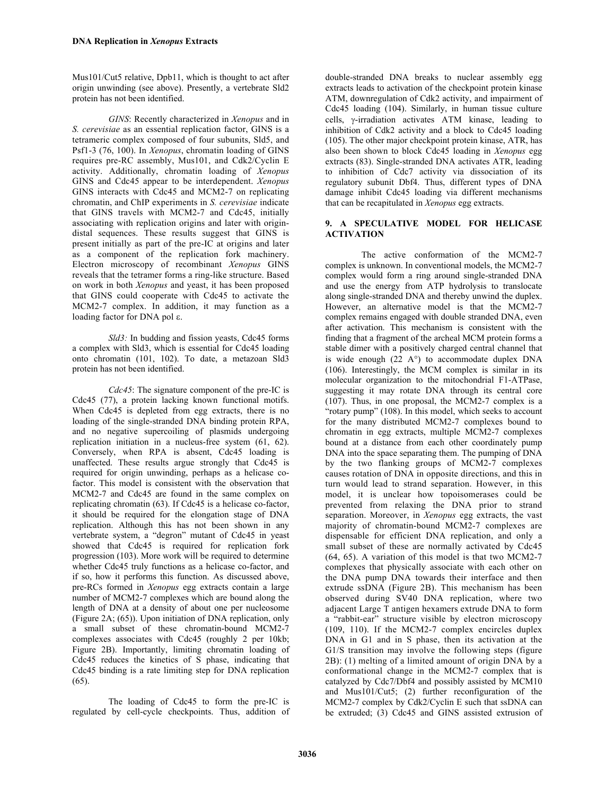Mus101/Cut5 relative, Dpb11, which is thought to act after origin unwinding (see above). Presently, a vertebrate Sld2 protein has not been identified.

*GINS*: Recently characterized in *Xenopus* and in *S. cerevisiae* as an essential replication factor, GINS is a tetrameric complex composed of four subunits, Sld5, and Psf1-3 (76, 100). In *Xenopus*, chromatin loading of GINS requires pre-RC assembly, Mus101, and Cdk2/Cyclin E activity. Additionally, chromatin loading of *Xenopus* GINS and Cdc45 appear to be interdependent. *Xenopus* GINS interacts with Cdc45 and MCM2-7 on replicating chromatin, and ChIP experiments in *S. cerevisiae* indicate that GINS travels with MCM2-7 and Cdc45, initially associating with replication origins and later with origindistal sequences. These results suggest that GINS is present initially as part of the pre-IC at origins and later as a component of the replication fork machinery. Electron microscopy of recombinant *Xenopus* GINS reveals that the tetramer forms a ring-like structure. Based on work in both *Xenopus* and yeast, it has been proposed that GINS could cooperate with Cdc45 to activate the MCM2-7 complex. In addition, it may function as a loading factor for DNA pol ε.

*Sld3:* In budding and fission yeasts, Cdc45 forms a complex with Sld3, which is essential for Cdc45 loading onto chromatin (101, 102). To date, a metazoan Sld3 protein has not been identified.

*Cdc45*: The signature component of the pre-IC is Cdc45 (77), a protein lacking known functional motifs. When Cdc45 is depleted from egg extracts, there is no loading of the single-stranded DNA binding protein RPA, and no negative supercoiling of plasmids undergoing replication initiation in a nucleus-free system (61, 62). Conversely, when RPA is absent, Cdc45 loading is unaffected. These results argue strongly that Cdc45 is required for origin unwinding, perhaps as a helicase cofactor. This model is consistent with the observation that MCM2-7 and Cdc45 are found in the same complex on replicating chromatin (63). If Cdc45 is a helicase co-factor, it should be required for the elongation stage of DNA replication. Although this has not been shown in any vertebrate system, a "degron" mutant of Cdc45 in yeast showed that Cdc45 is required for replication fork progression (103). More work will be required to determine whether Cdc45 truly functions as a helicase co-factor, and if so, how it performs this function. As discussed above, pre-RCs formed in *Xenopus* egg extracts contain a large number of MCM2-7 complexes which are bound along the length of DNA at a density of about one per nucleosome (Figure 2A; (65)). Upon initiation of DNA replication, only a small subset of these chromatin-bound MCM2-7 complexes associates with Cdc45 (roughly 2 per 10kb; Figure 2B). Importantly, limiting chromatin loading of Cdc45 reduces the kinetics of S phase, indicating that Cdc45 binding is a rate limiting step for DNA replication (65).

The loading of Cdc45 to form the pre-IC is regulated by cell-cycle checkpoints. Thus, addition of

double-stranded DNA breaks to nuclear assembly egg extracts leads to activation of the checkpoint protein kinase ATM, downregulation of Cdk2 activity, and impairment of Cdc45 loading (104). Similarly, in human tissue culture cells, γ-irradiation activates ATM kinase, leading to inhibition of Cdk2 activity and a block to Cdc45 loading (105). The other major checkpoint protein kinase, ATR, has also been shown to block Cdc45 loading in *Xenopus* egg extracts (83). Single-stranded DNA activates ATR, leading to inhibition of Cdc7 activity via dissociation of its regulatory subunit Dbf4. Thus, different types of DNA damage inhibit Cdc45 loading via different mechanisms that can be recapitulated in *Xenopus* egg extracts.

# **9. A SPECULATIVE MODEL FOR HELICASE ACTIVATION**

The active conformation of the MCM2-7 complex is unknown. In conventional models, the MCM2-7 complex would form a ring around single-stranded DNA and use the energy from ATP hydrolysis to translocate along single-stranded DNA and thereby unwind the duplex. However, an alternative model is that the MCM2-7 complex remains engaged with double stranded DNA, even after activation. This mechanism is consistent with the finding that a fragment of the archeal MCM protein forms a stable dimer with a positively charged central channel that is wide enough  $(22 \text{ A}^{\circ})$  to accommodate duplex DNA (106). Interestingly, the MCM complex is similar in its molecular organization to the mitochondrial F1-ATPase, suggesting it may rotate DNA through its central core (107). Thus, in one proposal, the MCM2-7 complex is a "rotary pump" (108). In this model, which seeks to account for the many distributed MCM2-7 complexes bound to chromatin in egg extracts, multiple MCM2-7 complexes bound at a distance from each other coordinately pump DNA into the space separating them. The pumping of DNA by the two flanking groups of MCM2-7 complexes causes rotation of DNA in opposite directions, and this in turn would lead to strand separation. However, in this model, it is unclear how topoisomerases could be prevented from relaxing the DNA prior to strand separation. Moreover, in *Xenopus* egg extracts, the vast majority of chromatin-bound MCM2-7 complexes are dispensable for efficient DNA replication, and only a small subset of these are normally activated by Cdc45 (64, 65). A variation of this model is that two MCM2-7 complexes that physically associate with each other on the DNA pump DNA towards their interface and then extrude ssDNA (Figure 2B). This mechanism has been observed during SV40 DNA replication, where two adjacent Large T antigen hexamers extrude DNA to form a "rabbit-ear" structure visible by electron microscopy (109, 110). If the MCM2-7 complex encircles duplex DNA in G1 and in S phase, then its activation at the G1/S transition may involve the following steps (figure 2B): (1) melting of a limited amount of origin DNA by a conformational change in the MCM2-7 complex that is catalyzed by Cdc7/Dbf4 and possibly assisted by MCM10 and Mus101/Cut5; (2) further reconfiguration of the MCM2-7 complex by Cdk2/Cyclin E such that ssDNA can be extruded; (3) Cdc45 and GINS assisted extrusion of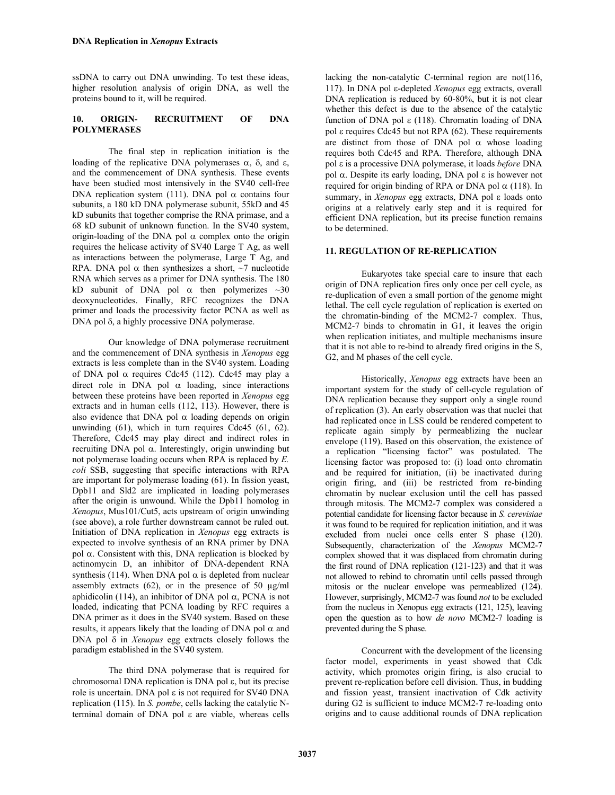ssDNA to carry out DNA unwinding. To test these ideas, higher resolution analysis of origin DNA, as well the proteins bound to it, will be required.

## **10. ORIGIN- RECRUITMENT OF DNA POLYMERASES**

The final step in replication initiation is the loading of the replicative DNA polymerases  $\alpha$ ,  $\delta$ , and  $\epsilon$ , and the commencement of DNA synthesis. These events have been studied most intensively in the SV40 cell-free DNA replication system (111). DNA pol α contains four subunits, a 180 kD DNA polymerase subunit, 55kD and 45 kD subunits that together comprise the RNA primase, and a 68 kD subunit of unknown function. In the SV40 system, origin-loading of the DNA pol  $\alpha$  complex onto the origin requires the helicase activity of SV40 Large T Ag, as well as interactions between the polymerase, Large T Ag, and RPA. DNA pol  $\alpha$  then synthesizes a short,  $\sim$ 7 nucleotide RNA which serves as a primer for DNA synthesis. The 180 kD subunit of DNA pol  $\alpha$  then polymerizes ~30 deoxynucleotides. Finally, RFC recognizes the DNA primer and loads the processivity factor PCNA as well as DNA pol δ, a highly processive DNA polymerase.

Our knowledge of DNA polymerase recruitment and the commencement of DNA synthesis in *Xenopus* egg extracts is less complete than in the SV40 system. Loading of DNA pol  $\alpha$  requires Cdc45 (112). Cdc45 may play a direct role in DNA pol  $\alpha$  loading, since interactions between these proteins have been reported in *Xenopus* egg extracts and in human cells (112, 113). However, there is also evidence that DNA pol  $\alpha$  loading depends on origin unwinding (61), which in turn requires Cdc45 (61, 62). Therefore, Cdc45 may play direct and indirect roles in recruiting DNA pol α. Interestingly, origin unwinding but not polymerase loading occurs when RPA is replaced by *E. coli* SSB, suggesting that specific interactions with RPA are important for polymerase loading (61). In fission yeast, Dpb11 and Sld2 are implicated in loading polymerases after the origin is unwound. While the Dpb11 homolog in *Xenopus*, Mus101/Cut5, acts upstream of origin unwinding (see above), a role further downstream cannot be ruled out. Initiation of DNA replication in *Xenopus* egg extracts is expected to involve synthesis of an RNA primer by DNA pol  $\alpha$ . Consistent with this, DNA replication is blocked by actinomycin D, an inhibitor of DNA-dependent RNA synthesis (114). When DNA pol  $\alpha$  is depleted from nuclear assembly extracts  $(62)$ , or in the presence of 50  $\mu$ g/ml aphidicolin (114), an inhibitor of DNA pol  $\alpha$ , PCNA is not loaded, indicating that PCNA loading by RFC requires a DNA primer as it does in the SV40 system. Based on these results, it appears likely that the loading of DNA pol  $\alpha$  and DNA pol δ in *Xenopus* egg extracts closely follows the paradigm established in the SV40 system.

The third DNA polymerase that is required for chromosomal DNA replication is DNA pol ε, but its precise role is uncertain. DNA pol ε is not required for SV40 DNA replication (115). In *S. pombe*, cells lacking the catalytic Nterminal domain of DNA pol ε are viable, whereas cells

lacking the non-catalytic C-terminal region are not(116, 117). In DNA pol ε-depleted *Xenopus* egg extracts, overall DNA replication is reduced by 60-80%, but it is not clear whether this defect is due to the absence of the catalytic function of DNA pol ε (118). Chromatin loading of DNA pol ε requires Cdc45 but not RPA (62). These requirements are distinct from those of DNA pol  $\alpha$  whose loading requires both Cdc45 and RPA. Therefore, although DNA pol ε is a processive DNA polymerase, it loads *before* DNA pol α. Despite its early loading, DNA pol ε is however not required for origin binding of RPA or DNA pol  $\alpha$  (118). In summary, in *Xenopus* egg extracts, DNA pol ε loads onto origins at a relatively early step and it is required for efficient DNA replication, but its precise function remains to be determined.

# **11. REGULATION OF RE-REPLICATION**

Eukaryotes take special care to insure that each origin of DNA replication fires only once per cell cycle, as re-duplication of even a small portion of the genome might lethal. The cell cycle regulation of replication is exerted on the chromatin-binding of the MCM2-7 complex. Thus, MCM2-7 binds to chromatin in G1, it leaves the origin when replication initiates, and multiple mechanisms insure that it is not able to re-bind to already fired origins in the S, G2, and M phases of the cell cycle.

Historically, *Xenopus* egg extracts have been an important system for the study of cell-cycle regulation of DNA replication because they support only a single round of replication (3). An early observation was that nuclei that had replicated once in LSS could be rendered competent to replicate again simply by permeablizing the nuclear envelope (119). Based on this observation, the existence of a replication "licensing factor" was postulated. The licensing factor was proposed to: (i) load onto chromatin and be required for initiation, (ii) be inactivated during origin firing, and (iii) be restricted from re-binding chromatin by nuclear exclusion until the cell has passed through mitosis. The MCM2-7 complex was considered a potential candidate for licensing factor because in *S. cerevisiae* it was found to be required for replication initiation, and it was excluded from nuclei once cells enter S phase (120). Subsequently, characterization of the *Xenopus* MCM2-7 complex showed that it was displaced from chromatin during the first round of DNA replication (121-123) and that it was not allowed to rebind to chromatin until cells passed through mitosis or the nuclear envelope was permeablized (124). However, surprisingly, MCM2-7 was found *not* to be excluded from the nucleus in Xenopus egg extracts (121, 125), leaving open the question as to how *de novo* MCM2-7 loading is prevented during the S phase.

Concurrent with the development of the licensing factor model, experiments in yeast showed that Cdk activity, which promotes origin firing, is also crucial to prevent re-replication before cell division. Thus, in budding and fission yeast, transient inactivation of Cdk activity during G2 is sufficient to induce MCM2-7 re-loading onto origins and to cause additional rounds of DNA replication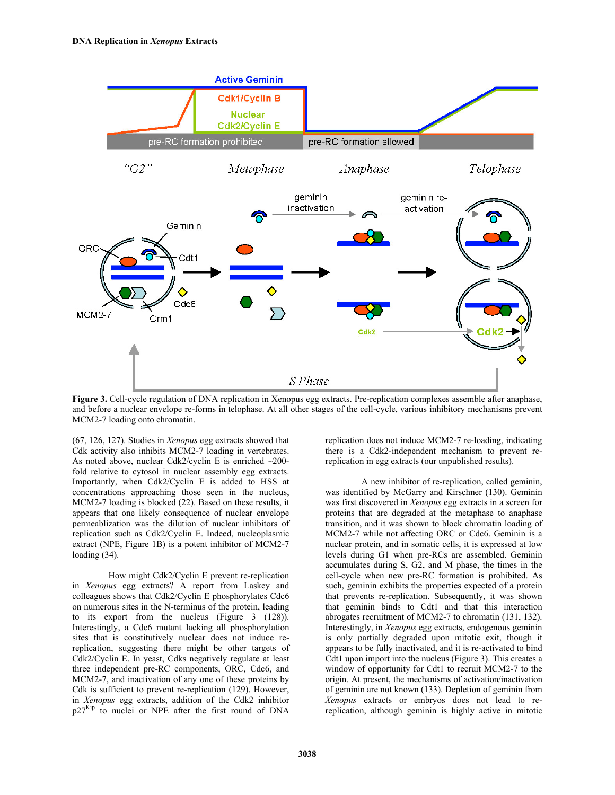

**Figure 3.** Cell-cycle regulation of DNA replication in Xenopus egg extracts. Pre-replication complexes assemble after anaphase, and before a nuclear envelope re-forms in telophase. At all other stages of the cell-cycle, various inhibitory mechanisms prevent MCM2-7 loading onto chromatin.

(67, 126, 127). Studies in *Xenopus* egg extracts showed that Cdk activity also inhibits MCM2-7 loading in vertebrates. As noted above, nuclear Cdk2/cyclin E is enriched ~200 fold relative to cytosol in nuclear assembly egg extracts. Importantly, when Cdk2/Cyclin E is added to HSS at concentrations approaching those seen in the nucleus, MCM2-7 loading is blocked (22). Based on these results, it appears that one likely consequence of nuclear envelope permeablization was the dilution of nuclear inhibitors of replication such as Cdk2/Cyclin E. Indeed, nucleoplasmic extract (NPE, Figure 1B) is a potent inhibitor of MCM2-7 loading (34).

How might Cdk2/Cyclin E prevent re-replication in *Xenopus* egg extracts? A report from Laskey and colleagues shows that Cdk2/Cyclin E phosphorylates Cdc6 on numerous sites in the N-terminus of the protein, leading to its export from the nucleus (Figure 3 (128)). Interestingly, a Cdc6 mutant lacking all phosphorylation sites that is constitutively nuclear does not induce rereplication, suggesting there might be other targets of Cdk2/Cyclin E. In yeast, Cdks negatively regulate at least three independent pre-RC components, ORC, Cdc6, and MCM2-7, and inactivation of any one of these proteins by Cdk is sufficient to prevent re-replication (129). However, in *Xenopus* egg extracts, addition of the Cdk2 inhibitor p27<sup>Kip</sup> to nuclei or NPE after the first round of DNA

replication does not induce MCM2-7 re-loading, indicating there is a Cdk2-independent mechanism to prevent rereplication in egg extracts (our unpublished results).

A new inhibitor of re-replication, called geminin, was identified by McGarry and Kirschner (130). Geminin was first discovered in *Xenopus* egg extracts in a screen for proteins that are degraded at the metaphase to anaphase transition, and it was shown to block chromatin loading of MCM2-7 while not affecting ORC or Cdc6. Geminin is a nuclear protein, and in somatic cells, it is expressed at low levels during G1 when pre-RCs are assembled. Geminin accumulates during S, G2, and M phase, the times in the cell-cycle when new pre-RC formation is prohibited. As such, geminin exhibits the properties expected of a protein that prevents re-replication. Subsequently, it was shown that geminin binds to Cdt1 and that this interaction abrogates recruitment of MCM2-7 to chromatin (131, 132). Interestingly, in *Xenopus* egg extracts, endogenous geminin is only partially degraded upon mitotic exit, though it appears to be fully inactivated, and it is re-activated to bind Cdt1 upon import into the nucleus (Figure 3). This creates a window of opportunity for Cdt1 to recruit MCM2-7 to the origin. At present, the mechanisms of activation/inactivation of geminin are not known (133). Depletion of geminin from *Xenopus* extracts or embryos does not lead to rereplication, although geminin is highly active in mitotic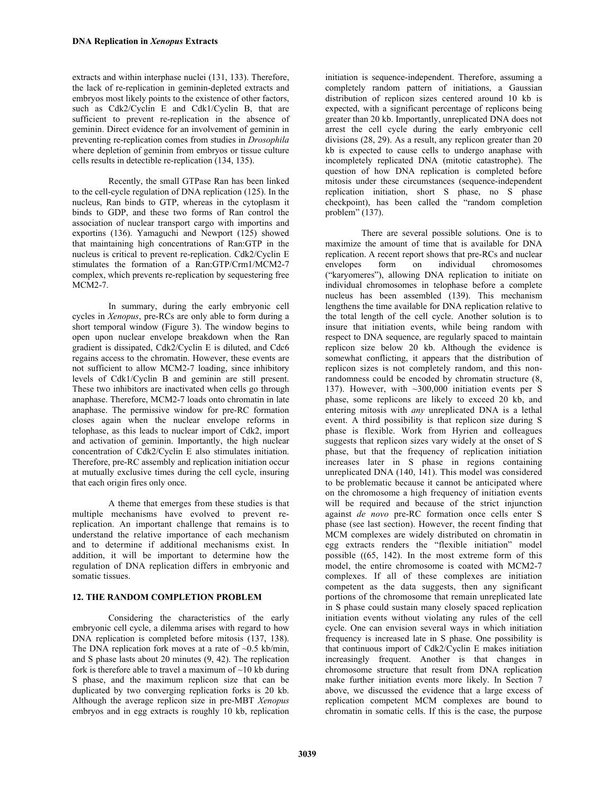extracts and within interphase nuclei (131, 133). Therefore, the lack of re-replication in geminin-depleted extracts and embryos most likely points to the existence of other factors, such as Cdk2/Cyclin E and Cdk1/Cyclin B, that are sufficient to prevent re-replication in the absence of geminin. Direct evidence for an involvement of geminin in preventing re-replication comes from studies in *Drosophila* where depletion of geminin from embryos or tissue culture cells results in detectible re-replication (134, 135).

Recently, the small GTPase Ran has been linked to the cell-cycle regulation of DNA replication (125). In the nucleus, Ran binds to GTP, whereas in the cytoplasm it binds to GDP, and these two forms of Ran control the association of nuclear transport cargo with importins and exportins (136). Yamaguchi and Newport (125) showed that maintaining high concentrations of Ran:GTP in the nucleus is critical to prevent re-replication. Cdk2/Cyclin E stimulates the formation of a Ran:GTP/Crm1/MCM2-7 complex, which prevents re-replication by sequestering free MCM2-7.

In summary, during the early embryonic cell cycles in *Xenopus*, pre-RCs are only able to form during a short temporal window (Figure 3). The window begins to open upon nuclear envelope breakdown when the Ran gradient is dissipated, Cdk2/Cyclin E is diluted, and Cdc6 regains access to the chromatin. However, these events are not sufficient to allow MCM2-7 loading, since inhibitory levels of Cdk1/Cyclin B and geminin are still present. These two inhibitors are inactivated when cells go through anaphase. Therefore, MCM2-7 loads onto chromatin in late anaphase. The permissive window for pre-RC formation closes again when the nuclear envelope reforms in telophase, as this leads to nuclear import of Cdk2, import and activation of geminin. Importantly, the high nuclear concentration of Cdk2/Cyclin E also stimulates initiation. Therefore, pre-RC assembly and replication initiation occur at mutually exclusive times during the cell cycle, insuring that each origin fires only once.

A theme that emerges from these studies is that multiple mechanisms have evolved to prevent rereplication. An important challenge that remains is to understand the relative importance of each mechanism and to determine if additional mechanisms exist. In addition, it will be important to determine how the regulation of DNA replication differs in embryonic and somatic tissues.

# **12. THE RANDOM COMPLETION PROBLEM**

Considering the characteristics of the early embryonic cell cycle, a dilemma arises with regard to how DNA replication is completed before mitosis (137, 138). The DNA replication fork moves at a rate of  $\sim 0.5$  kb/min, and S phase lasts about 20 minutes (9, 42). The replication fork is therefore able to travel a maximum of  $\sim$ 10 kb during S phase, and the maximum replicon size that can be duplicated by two converging replication forks is 20 kb. Although the average replicon size in pre-MBT *Xenopus* embryos and in egg extracts is roughly 10 kb, replication

initiation is sequence-independent. Therefore, assuming a completely random pattern of initiations, a Gaussian distribution of replicon sizes centered around 10 kb is expected, with a significant percentage of replicons being greater than 20 kb. Importantly, unreplicated DNA does not arrest the cell cycle during the early embryonic cell divisions (28, 29). As a result, any replicon greater than 20 kb is expected to cause cells to undergo anaphase with incompletely replicated DNA (mitotic catastrophe). The question of how DNA replication is completed before mitosis under these circumstances (sequence-independent replication initiation, short S phase, no S phase checkpoint), has been called the "random completion problem" (137).

There are several possible solutions. One is to maximize the amount of time that is available for DNA replication. A recent report shows that pre-RCs and nuclear envelopes form on individual chromosomes ("karyomeres"), allowing DNA replication to initiate on individual chromosomes in telophase before a complete nucleus has been assembled (139). This mechanism lengthens the time available for DNA replication relative to the total length of the cell cycle. Another solution is to insure that initiation events, while being random with respect to DNA sequence, are regularly spaced to maintain replicon size below 20 kb. Although the evidence is somewhat conflicting, it appears that the distribution of replicon sizes is not completely random, and this nonrandomness could be encoded by chromatin structure (8, 137). However, with ~300,000 initiation events per S phase, some replicons are likely to exceed 20 kb, and entering mitosis with *any* unreplicated DNA is a lethal event. A third possibility is that replicon size during S phase is flexible. Work from Hyrien and colleagues suggests that replicon sizes vary widely at the onset of S phase, but that the frequency of replication initiation increases later in S phase in regions containing unreplicated DNA (140, 141). This model was considered to be problematic because it cannot be anticipated where on the chromosome a high frequency of initiation events will be required and because of the strict injunction against *de novo* pre-RC formation once cells enter S phase (see last section). However, the recent finding that MCM complexes are widely distributed on chromatin in egg extracts renders the "flexible initiation" model possible ((65, 142). In the most extreme form of this model, the entire chromosome is coated with MCM2-7 complexes. If all of these complexes are initiation competent as the data suggests, then any significant portions of the chromosome that remain unreplicated late in S phase could sustain many closely spaced replication initiation events without violating any rules of the cell cycle. One can envision several ways in which initiation frequency is increased late in S phase. One possibility is that continuous import of Cdk2/Cyclin E makes initiation increasingly frequent. Another is that changes in chromosome structure that result from DNA replication make further initiation events more likely. In Section 7 above, we discussed the evidence that a large excess of replication competent MCM complexes are bound to chromatin in somatic cells. If this is the case, the purpose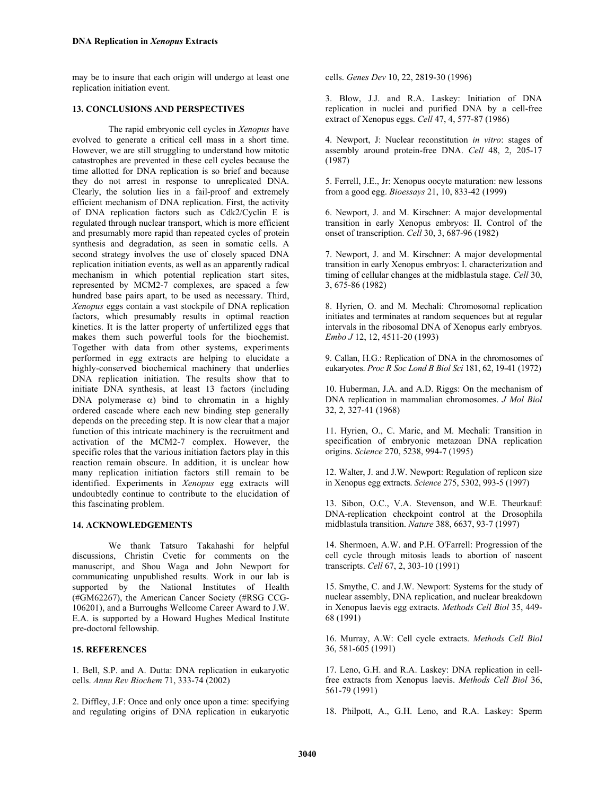may be to insure that each origin will undergo at least one replication initiation event.

### **13. CONCLUSIONS AND PERSPECTIVES**

The rapid embryonic cell cycles in *Xenopus* have evolved to generate a critical cell mass in a short time. However, we are still struggling to understand how mitotic catastrophes are prevented in these cell cycles because the time allotted for DNA replication is so brief and because they do not arrest in response to unreplicated DNA. Clearly, the solution lies in a fail-proof and extremely efficient mechanism of DNA replication. First, the activity of DNA replication factors such as Cdk2/Cyclin E is regulated through nuclear transport, which is more efficient and presumably more rapid than repeated cycles of protein synthesis and degradation, as seen in somatic cells. A second strategy involves the use of closely spaced DNA replication initiation events, as well as an apparently radical mechanism in which potential replication start sites, represented by MCM2-7 complexes, are spaced a few hundred base pairs apart, to be used as necessary. Third, *Xenopus* eggs contain a vast stockpile of DNA replication factors, which presumably results in optimal reaction kinetics. It is the latter property of unfertilized eggs that makes them such powerful tools for the biochemist. Together with data from other systems, experiments performed in egg extracts are helping to elucidate a highly-conserved biochemical machinery that underlies DNA replication initiation. The results show that to initiate DNA synthesis, at least 13 factors (including DNA polymerase  $α$ ) bind to chromatin in a highly ordered cascade where each new binding step generally depends on the preceding step. It is now clear that a major function of this intricate machinery is the recruitment and activation of the MCM2-7 complex. However, the specific roles that the various initiation factors play in this reaction remain obscure. In addition, it is unclear how many replication initiation factors still remain to be identified. Experiments in *Xenopus* egg extracts will undoubtedly continue to contribute to the elucidation of this fascinating problem.

### **14. ACKNOWLEDGEMENTS**

We thank Tatsuro Takahashi for helpful discussions, Christin Cvetic for comments on the manuscript, and Shou Waga and John Newport for communicating unpublished results. Work in our lab is supported by the National Institutes of Health (#GM62267), the American Cancer Society (#RSG CCG-106201), and a Burroughs Wellcome Career Award to J.W. E.A. is supported by a Howard Hughes Medical Institute pre-doctoral fellowship.

## **15. REFERENCES**

1. Bell, S.P. and A. Dutta: DNA replication in eukaryotic cells. *Annu Rev Biochem* 71, 333-74 (2002)

2. Diffley, J.F: Once and only once upon a time: specifying and regulating origins of DNA replication in eukaryotic

cells. *Genes Dev* 10, 22, 2819-30 (1996)

3. Blow, J.J. and R.A. Laskey: Initiation of DNA replication in nuclei and purified DNA by a cell-free extract of Xenopus eggs. *Cell* 47, 4, 577-87 (1986)

4. Newport, J: Nuclear reconstitution *in vitro*: stages of assembly around protein-free DNA. *Cell* 48, 2, 205-17 (1987)

5. Ferrell, J.E., Jr: Xenopus oocyte maturation: new lessons from a good egg. *Bioessays* 21, 10, 833-42 (1999)

6. Newport, J. and M. Kirschner: A major developmental transition in early Xenopus embryos: II. Control of the onset of transcription. *Cell* 30, 3, 687-96 (1982)

7. Newport, J. and M. Kirschner: A major developmental transition in early Xenopus embryos: I. characterization and timing of cellular changes at the midblastula stage. *Cell* 30, 3, 675-86 (1982)

8. Hyrien, O. and M. Mechali: Chromosomal replication initiates and terminates at random sequences but at regular intervals in the ribosomal DNA of Xenopus early embryos. *Embo J* 12, 12, 4511-20 (1993)

9. Callan, H.G.: Replication of DNA in the chromosomes of eukaryotes. *Proc R Soc Lond B Biol Sci* 181, 62, 19-41 (1972)

10. Huberman, J.A. and A.D. Riggs: On the mechanism of DNA replication in mammalian chromosomes. *J Mol Biol* 32, 2, 327-41 (1968)

11. Hyrien, O., C. Maric, and M. Mechali: Transition in specification of embryonic metazoan DNA replication origins. *Science* 270, 5238, 994-7 (1995)

12. Walter, J. and J.W. Newport: Regulation of replicon size in Xenopus egg extracts. *Science* 275, 5302, 993-5 (1997)

13. Sibon, O.C., V.A. Stevenson, and W.E. Theurkauf: DNA-replication checkpoint control at the Drosophila midblastula transition. *Nature* 388, 6637, 93-7 (1997)

14. Shermoen, A.W. and P.H. O'Farrell: Progression of the cell cycle through mitosis leads to abortion of nascent transcripts. *Cell* 67, 2, 303-10 (1991)

15. Smythe, C. and J.W. Newport: Systems for the study of nuclear assembly, DNA replication, and nuclear breakdown in Xenopus laevis egg extracts. *Methods Cell Biol* 35, 449- 68 (1991)

16. Murray, A.W: Cell cycle extracts. *Methods Cell Biol* 36, 581-605 (1991)

17. Leno, G.H. and R.A. Laskey: DNA replication in cellfree extracts from Xenopus laevis. *Methods Cell Biol* 36, 561-79 (1991)

18. Philpott, A., G.H. Leno, and R.A. Laskey: Sperm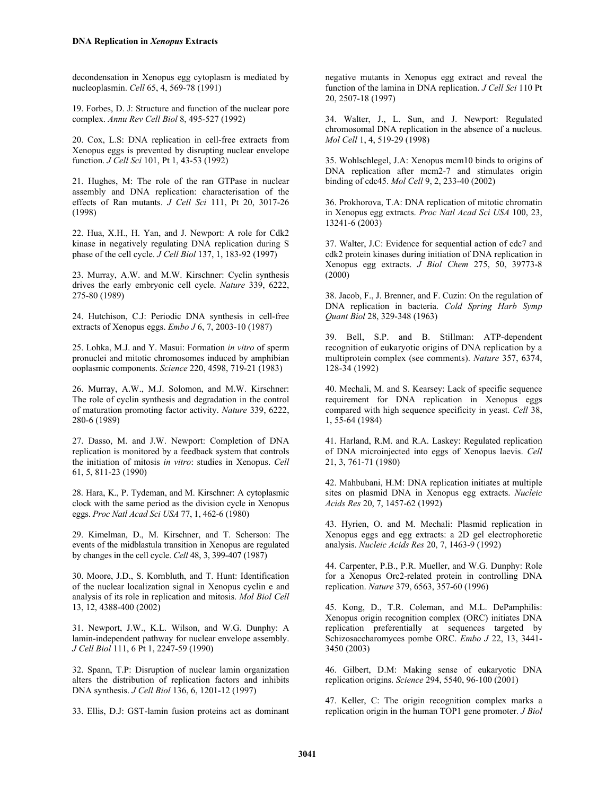decondensation in Xenopus egg cytoplasm is mediated by nucleoplasmin. *Cell* 65, 4, 569-78 (1991)

19. Forbes, D. J: Structure and function of the nuclear pore complex. *Annu Rev Cell Biol* 8, 495-527 (1992)

20. Cox, L.S: DNA replication in cell-free extracts from Xenopus eggs is prevented by disrupting nuclear envelope function. *J Cell Sci* 101, Pt 1, 43-53 (1992)

21. Hughes, M: The role of the ran GTPase in nuclear assembly and DNA replication: characterisation of the effects of Ran mutants. *J Cell Sci* 111, Pt 20, 3017-26 (1998)

22. Hua, X.H., H. Yan, and J. Newport: A role for Cdk2 kinase in negatively regulating DNA replication during S phase of the cell cycle. *J Cell Biol* 137, 1, 183-92 (1997)

23. Murray, A.W. and M.W. Kirschner: Cyclin synthesis drives the early embryonic cell cycle. *Nature* 339, 6222, 275-80 (1989)

24. Hutchison, C.J: Periodic DNA synthesis in cell-free extracts of Xenopus eggs. *Embo J* 6, 7, 2003-10 (1987)

25. Lohka, M.J. and Y. Masui: Formation *in vitro* of sperm pronuclei and mitotic chromosomes induced by amphibian ooplasmic components. *Science* 220, 4598, 719-21 (1983)

26. Murray, A.W., M.J. Solomon, and M.W. Kirschner: The role of cyclin synthesis and degradation in the control of maturation promoting factor activity. *Nature* 339, 6222, 280-6 (1989)

27. Dasso, M. and J.W. Newport: Completion of DNA replication is monitored by a feedback system that controls the initiation of mitosis *in vitro*: studies in Xenopus. *Cell* 61, 5, 811-23 (1990)

28. Hara, K., P. Tydeman, and M. Kirschner: A cytoplasmic clock with the same period as the division cycle in Xenopus eggs. *Proc Natl Acad Sci USA* 77, 1, 462-6 (1980)

29. Kimelman, D., M. Kirschner, and T. Scherson: The events of the midblastula transition in Xenopus are regulated by changes in the cell cycle. *Cell* 48, 3, 399-407 (1987)

30. Moore, J.D., S. Kornbluth, and T. Hunt: Identification of the nuclear localization signal in Xenopus cyclin e and analysis of its role in replication and mitosis. *Mol Biol Cell* 13, 12, 4388-400 (2002)

31. Newport, J.W., K.L. Wilson, and W.G. Dunphy: A lamin-independent pathway for nuclear envelope assembly. *J Cell Biol* 111, 6 Pt 1, 2247-59 (1990)

32. Spann, T.P: Disruption of nuclear lamin organization alters the distribution of replication factors and inhibits DNA synthesis. *J Cell Biol* 136, 6, 1201-12 (1997)

33. Ellis, D.J: GST-lamin fusion proteins act as dominant

negative mutants in Xenopus egg extract and reveal the function of the lamina in DNA replication. *J Cell Sci* 110 Pt 20, 2507-18 (1997)

34. Walter, J., L. Sun, and J. Newport: Regulated chromosomal DNA replication in the absence of a nucleus. *Mol Cell* 1, 4, 519-29 (1998)

35. Wohlschlegel, J.A: Xenopus mcm10 binds to origins of DNA replication after mcm2-7 and stimulates origin binding of cdc45. *Mol Cell* 9, 2, 233-40 (2002)

36. Prokhorova, T.A: DNA replication of mitotic chromatin in Xenopus egg extracts. *Proc Natl Acad Sci USA* 100, 23, 13241-6 (2003)

37. Walter, J.C: Evidence for sequential action of cdc7 and cdk2 protein kinases during initiation of DNA replication in Xenopus egg extracts. *J Biol Chem* 275, 50, 39773-8 (2000)

38. Jacob, F., J. Brenner, and F. Cuzin: On the regulation of DNA replication in bacteria. *Cold Spring Harb Symp Quant Biol* 28, 329-348 (1963)

39. Bell, S.P. and B. Stillman: ATP-dependent recognition of eukaryotic origins of DNA replication by a multiprotein complex (see comments). *Nature* 357, 6374, 128-34 (1992)

40. Mechali, M. and S. Kearsey: Lack of specific sequence requirement for DNA replication in Xenopus eggs compared with high sequence specificity in yeast. *Cell* 38, 1, 55-64 (1984)

41. Harland, R.M. and R.A. Laskey: Regulated replication of DNA microinjected into eggs of Xenopus laevis. *Cell* 21, 3, 761-71 (1980)

42. Mahbubani, H.M: DNA replication initiates at multiple sites on plasmid DNA in Xenopus egg extracts. *Nucleic Acids Res* 20, 7, 1457-62 (1992)

43. Hyrien, O. and M. Mechali: Plasmid replication in Xenopus eggs and egg extracts: a 2D gel electrophoretic analysis. *Nucleic Acids Res* 20, 7, 1463-9 (1992)

44. Carpenter, P.B., P.R. Mueller, and W.G. Dunphy: Role for a Xenopus Orc2-related protein in controlling DNA replication. *Nature* 379, 6563, 357-60 (1996)

45. Kong, D., T.R. Coleman, and M.L. DePamphilis: Xenopus origin recognition complex (ORC) initiates DNA replication preferentially at sequences targeted by Schizosaccharomyces pombe ORC. *Embo J* 22, 13, 3441- 3450 (2003)

46. Gilbert, D.M: Making sense of eukaryotic DNA replication origins. *Science* 294, 5540, 96-100 (2001)

47. Keller, C: The origin recognition complex marks a replication origin in the human TOP1 gene promoter. *J Biol*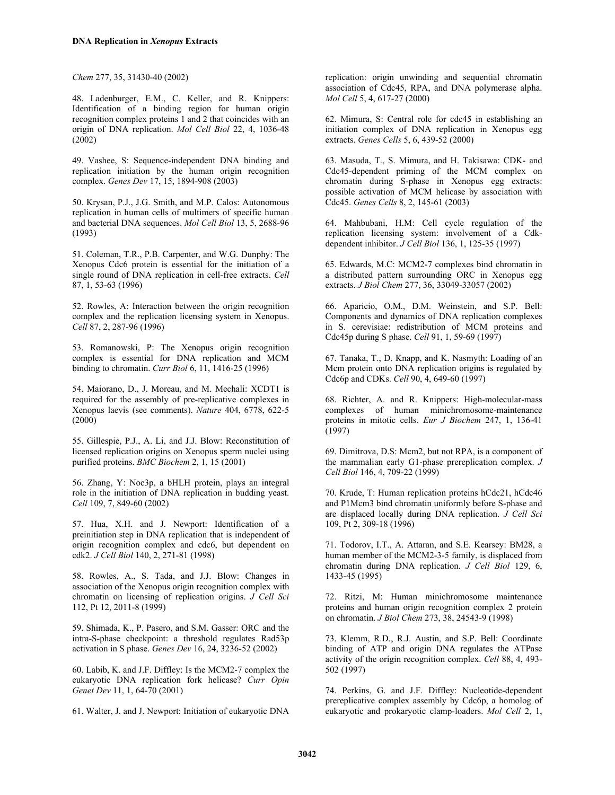*Chem* 277, 35, 31430-40 (2002)

48. Ladenburger, E.M., C. Keller, and R. Knippers: Identification of a binding region for human origin recognition complex proteins 1 and 2 that coincides with an origin of DNA replication. *Mol Cell Biol* 22, 4, 1036-48 (2002)

49. Vashee, S: Sequence-independent DNA binding and replication initiation by the human origin recognition complex. *Genes Dev* 17, 15, 1894-908 (2003)

50. Krysan, P.J., J.G. Smith, and M.P. Calos: Autonomous replication in human cells of multimers of specific human and bacterial DNA sequences. *Mol Cell Biol* 13, 5, 2688-96 (1993)

51. Coleman, T.R., P.B. Carpenter, and W.G. Dunphy: The Xenopus Cdc6 protein is essential for the initiation of a single round of DNA replication in cell-free extracts. *Cell* 87, 1, 53-63 (1996)

52. Rowles, A: Interaction between the origin recognition complex and the replication licensing system in Xenopus. *Cell* 87, 2, 287-96 (1996)

53. Romanowski, P: The Xenopus origin recognition complex is essential for DNA replication and MCM binding to chromatin. *Curr Biol* 6, 11, 1416-25 (1996)

54. Maiorano, D., J. Moreau, and M. Mechali: XCDT1 is required for the assembly of pre-replicative complexes in Xenopus laevis (see comments). *Nature* 404, 6778, 622-5 (2000)

55. Gillespie, P.J., A. Li, and J.J. Blow: Reconstitution of licensed replication origins on Xenopus sperm nuclei using purified proteins. *BMC Biochem* 2, 1, 15 (2001)

56. Zhang, Y: Noc3p, a bHLH protein, plays an integral role in the initiation of DNA replication in budding yeast. *Cell* 109, 7, 849-60 (2002)

57. Hua, X.H. and J. Newport: Identification of a preinitiation step in DNA replication that is independent of origin recognition complex and cdc6, but dependent on cdk2. *J Cell Biol* 140, 2, 271-81 (1998)

58. Rowles, A., S. Tada, and J.J. Blow: Changes in association of the Xenopus origin recognition complex with chromatin on licensing of replication origins. *J Cell Sci* 112, Pt 12, 2011-8 (1999)

59. Shimada, K., P. Pasero, and S.M. Gasser: ORC and the intra-S-phase checkpoint: a threshold regulates Rad53p activation in S phase. *Genes Dev* 16, 24, 3236-52 (2002)

60. Labib, K. and J.F. Diffley: Is the MCM2-7 complex the eukaryotic DNA replication fork helicase? *Curr Opin Genet Dev* 11, 1, 64-70 (2001)

61. Walter, J. and J. Newport: Initiation of eukaryotic DNA

replication: origin unwinding and sequential chromatin association of Cdc45, RPA, and DNA polymerase alpha. *Mol Cell* 5, 4, 617-27 (2000)

62. Mimura, S: Central role for cdc45 in establishing an initiation complex of DNA replication in Xenopus egg extracts. *Genes Cells* 5, 6, 439-52 (2000)

63. Masuda, T., S. Mimura, and H. Takisawa: CDK- and Cdc45-dependent priming of the MCM complex on chromatin during S-phase in Xenopus egg extracts: possible activation of MCM helicase by association with Cdc45. *Genes Cells* 8, 2, 145-61 (2003)

64. Mahbubani, H.M: Cell cycle regulation of the replication licensing system: involvement of a Cdkdependent inhibitor. *J Cell Biol* 136, 1, 125-35 (1997)

65. Edwards, M.C: MCM2-7 complexes bind chromatin in a distributed pattern surrounding ORC in Xenopus egg extracts. *J Biol Chem* 277, 36, 33049-33057 (2002)

66. Aparicio, O.M., D.M. Weinstein, and S.P. Bell: Components and dynamics of DNA replication complexes in S. cerevisiae: redistribution of MCM proteins and Cdc45p during S phase. *Cell* 91, 1, 59-69 (1997)

67. Tanaka, T., D. Knapp, and K. Nasmyth: Loading of an Mcm protein onto DNA replication origins is regulated by Cdc6p and CDKs. *Cell* 90, 4, 649-60 (1997)

68. Richter, A. and R. Knippers: High-molecular-mass complexes of human minichromosome-maintenance proteins in mitotic cells. *Eur J Biochem* 247, 1, 136-41  $(1997)$ 

69. Dimitrova, D.S: Mcm2, but not RPA, is a component of the mammalian early G1-phase prereplication complex. *J Cell Biol* 146, 4, 709-22 (1999)

70. Krude, T: Human replication proteins hCdc21, hCdc46 and P1Mcm3 bind chromatin uniformly before S-phase and are displaced locally during DNA replication. *J Cell Sci* 109, Pt 2, 309-18 (1996)

71. Todorov, I.T., A. Attaran, and S.E. Kearsey: BM28, a human member of the MCM2-3-5 family, is displaced from chromatin during DNA replication. *J Cell Biol* 129, 6, 1433-45 (1995)

72. Ritzi, M: Human minichromosome maintenance proteins and human origin recognition complex 2 protein on chromatin. *J Biol Chem* 273, 38, 24543-9 (1998)

73. Klemm, R.D., R.J. Austin, and S.P. Bell: Coordinate binding of ATP and origin DNA regulates the ATPase activity of the origin recognition complex. *Cell* 88, 4, 493- 502 (1997)

74. Perkins, G. and J.F. Diffley: Nucleotide-dependent prereplicative complex assembly by Cdc6p, a homolog of eukaryotic and prokaryotic clamp-loaders. *Mol Cell* 2, 1,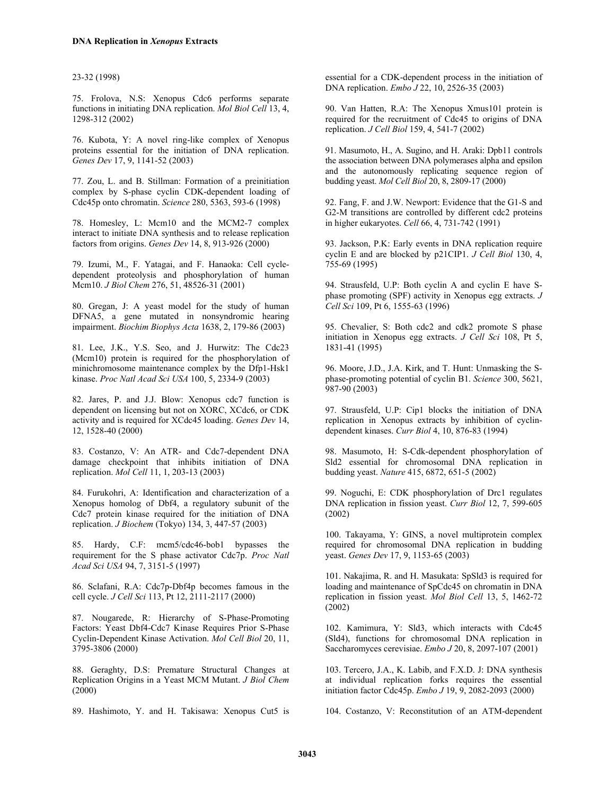### 23-32 (1998)

75. Frolova, N.S: Xenopus Cdc6 performs separate functions in initiating DNA replication. *Mol Biol Cell* 13, 4, 1298-312 (2002)

76. Kubota, Y: A novel ring-like complex of Xenopus proteins essential for the initiation of DNA replication. *Genes Dev* 17, 9, 1141-52 (2003)

77. Zou, L. and B. Stillman: Formation of a preinitiation complex by S-phase cyclin CDK-dependent loading of Cdc45p onto chromatin. *Science* 280, 5363, 593-6 (1998)

78. Homesley, L: Mcm10 and the MCM2-7 complex interact to initiate DNA synthesis and to release replication factors from origins. *Genes Dev* 14, 8, 913-926 (2000)

79. Izumi, M., F. Yatagai, and F. Hanaoka: Cell cycledependent proteolysis and phosphorylation of human Mcm10. *J Biol Chem* 276, 51, 48526-31 (2001)

80. Gregan, J: A yeast model for the study of human DFNA5, a gene mutated in nonsyndromic hearing impairment. *Biochim Biophys Acta* 1638, 2, 179-86 (2003)

81. Lee, J.K., Y.S. Seo, and J. Hurwitz: The Cdc23 (Mcm10) protein is required for the phosphorylation of minichromosome maintenance complex by the Dfp1-Hsk1 kinase. *Proc Natl Acad Sci USA* 100, 5, 2334-9 (2003)

82. Jares, P. and J.J. Blow: Xenopus cdc7 function is dependent on licensing but not on XORC, XCdc6, or CDK activity and is required for XCdc45 loading. *Genes Dev* 14, 12, 1528-40 (2000)

83. Costanzo, V: An ATR- and Cdc7-dependent DNA damage checkpoint that inhibits initiation of DNA replication. *Mol Cell* 11, 1, 203-13 (2003)

84. Furukohri, A: Identification and characterization of a Xenopus homolog of Dbf4, a regulatory subunit of the Cdc7 protein kinase required for the initiation of DNA replication. *J Biochem* (Tokyo) 134, 3, 447-57 (2003)

85. Hardy, C.F: mcm5/cdc46-bob1 bypasses the requirement for the S phase activator Cdc7p. *Proc Natl Acad Sci USA* 94, 7, 3151-5 (1997)

86. Sclafani, R.A: Cdc7p-Dbf4p becomes famous in the cell cycle. *J Cell Sci* 113, Pt 12, 2111-2117 (2000)

87. Nougarede, R: Hierarchy of S-Phase-Promoting Factors: Yeast Dbf4-Cdc7 Kinase Requires Prior S-Phase Cyclin-Dependent Kinase Activation. *Mol Cell Biol* 20, 11, 3795-3806 (2000)

88. Geraghty, D.S: Premature Structural Changes at Replication Origins in a Yeast MCM Mutant. *J Biol Chem* (2000)

89. Hashimoto, Y. and H. Takisawa: Xenopus Cut5 is

essential for a CDK-dependent process in the initiation of DNA replication. *Embo J* 22, 10, 2526-35 (2003)

90. Van Hatten, R.A: The Xenopus Xmus101 protein is required for the recruitment of Cdc45 to origins of DNA replication. *J Cell Biol* 159, 4, 541-7 (2002)

91. Masumoto, H., A. Sugino, and H. Araki: Dpb11 controls the association between DNA polymerases alpha and epsilon and the autonomously replicating sequence region of budding yeast. *Mol Cell Biol* 20, 8, 2809-17 (2000)

92. Fang, F. and J.W. Newport: Evidence that the G1-S and G2-M transitions are controlled by different cdc2 proteins in higher eukaryotes. *Cell* 66, 4, 731-742 (1991)

93. Jackson, P.K: Early events in DNA replication require cyclin E and are blocked by p21CIP1. *J Cell Biol* 130, 4, 755-69 (1995)

94. Strausfeld, U.P: Both cyclin A and cyclin E have Sphase promoting (SPF) activity in Xenopus egg extracts. *J Cell Sci* 109, Pt 6, 1555-63 (1996)

95. Chevalier, S: Both cdc2 and cdk2 promote S phase initiation in Xenopus egg extracts. *J Cell Sci* 108, Pt 5, 1831-41 (1995)

96. Moore, J.D., J.A. Kirk, and T. Hunt: Unmasking the Sphase-promoting potential of cyclin B1. *Science* 300, 5621, 987-90 (2003)

97. Strausfeld, U.P: Cip1 blocks the initiation of DNA replication in Xenopus extracts by inhibition of cyclindependent kinases. *Curr Biol* 4, 10, 876-83 (1994)

98. Masumoto, H: S-Cdk-dependent phosphorylation of Sld2 essential for chromosomal DNA replication in budding yeast. *Nature* 415, 6872, 651-5 (2002)

99. Noguchi, E: CDK phosphorylation of Drc1 regulates DNA replication in fission yeast. *Curr Biol* 12, 7, 599-605 (2002)

100. Takayama, Y: GINS, a novel multiprotein complex required for chromosomal DNA replication in budding yeast. *Genes Dev* 17, 9, 1153-65 (2003)

101. Nakajima, R. and H. Masukata: SpSld3 is required for loading and maintenance of SpCdc45 on chromatin in DNA replication in fission yeast. *Mol Biol Cell* 13, 5, 1462-72 (2002)

102. Kamimura, Y: Sld3, which interacts with Cdc45 (Sld4), functions for chromosomal DNA replication in Saccharomyces cerevisiae. *Embo J* 20, 8, 2097-107 (2001)

103. Tercero, J.A., K. Labib, and F.X.D. J: DNA synthesis at individual replication forks requires the essential initiation factor Cdc45p. *Embo J* 19, 9, 2082-2093 (2000)

104. Costanzo, V: Reconstitution of an ATM-dependent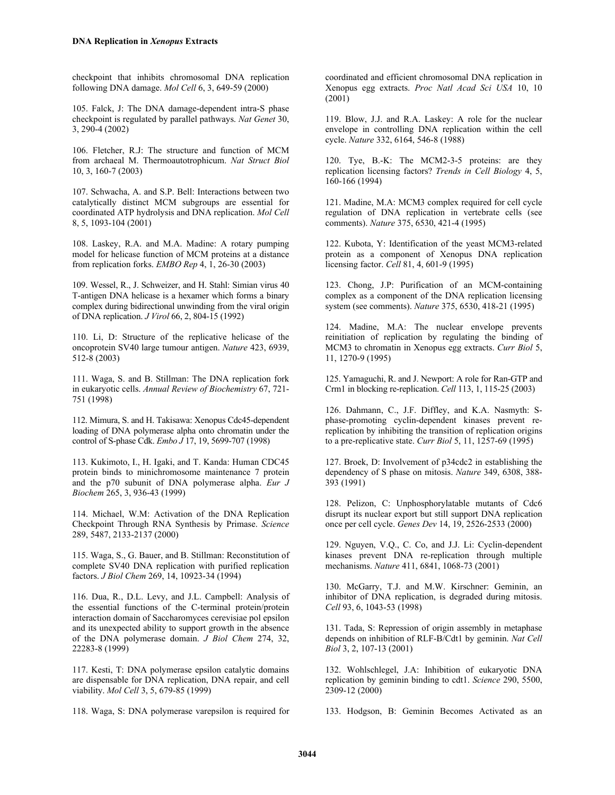checkpoint that inhibits chromosomal DNA replication following DNA damage. *Mol Cell* 6, 3, 649-59 (2000)

105. Falck, J: The DNA damage-dependent intra-S phase checkpoint is regulated by parallel pathways. *Nat Genet* 30, 3, 290-4 (2002)

106. Fletcher, R.J: The structure and function of MCM from archaeal M. Thermoautotrophicum. *Nat Struct Biol* 10, 3, 160-7 (2003)

107. Schwacha, A. and S.P. Bell: Interactions between two catalytically distinct MCM subgroups are essential for coordinated ATP hydrolysis and DNA replication. *Mol Cell* 8, 5, 1093-104 (2001)

108. Laskey, R.A. and M.A. Madine: A rotary pumping model for helicase function of MCM proteins at a distance from replication forks. *EMBO Rep* 4, 1, 26-30 (2003)

109. Wessel, R., J. Schweizer, and H. Stahl: Simian virus 40 T-antigen DNA helicase is a hexamer which forms a binary complex during bidirectional unwinding from the viral origin of DNA replication. *J Virol* 66, 2, 804-15 (1992)

110. Li, D: Structure of the replicative helicase of the oncoprotein SV40 large tumour antigen. *Nature* 423, 6939, 512-8 (2003)

111. Waga, S. and B. Stillman: The DNA replication fork in eukaryotic cells. *Annual Review of Biochemistry* 67, 721- 751 (1998)

112. Mimura, S. and H. Takisawa: Xenopus Cdc45-dependent loading of DNA polymerase alpha onto chromatin under the control of S-phase Cdk. *Embo J* 17, 19, 5699-707 (1998)

113. Kukimoto, I., H. Igaki, and T. Kanda: Human CDC45 protein binds to minichromosome maintenance 7 protein and the p70 subunit of DNA polymerase alpha. *Eur J Biochem* 265, 3, 936-43 (1999)

114. Michael, W.M: Activation of the DNA Replication Checkpoint Through RNA Synthesis by Primase. *Science* 289, 5487, 2133-2137 (2000)

115. Waga, S., G. Bauer, and B. Stillman: Reconstitution of complete SV40 DNA replication with purified replication factors. *J Biol Chem* 269, 14, 10923-34 (1994)

116. Dua, R., D.L. Levy, and J.L. Campbell: Analysis of the essential functions of the C-terminal protein/protein interaction domain of Saccharomyces cerevisiae pol epsilon and its unexpected ability to support growth in the absence of the DNA polymerase domain. *J Biol Chem* 274, 32, 22283-8 (1999)

117. Kesti, T: DNA polymerase epsilon catalytic domains are dispensable for DNA replication, DNA repair, and cell viability. *Mol Cell* 3, 5, 679-85 (1999)

118. Waga, S: DNA polymerase varepsilon is required for

coordinated and efficient chromosomal DNA replication in Xenopus egg extracts. *Proc Natl Acad Sci USA* 10, 10  $(2001)$ 

119. Blow, J.J. and R.A. Laskey: A role for the nuclear envelope in controlling DNA replication within the cell cycle. *Nature* 332, 6164, 546-8 (1988)

120. Tye, B.-K: The MCM2-3-5 proteins: are they replication licensing factors? *Trends in Cell Biology* 4, 5, 160-166 (1994)

121. Madine, M.A: MCM3 complex required for cell cycle regulation of DNA replication in vertebrate cells (see comments). *Nature* 375, 6530, 421-4 (1995)

122. Kubota, Y: Identification of the yeast MCM3-related protein as a component of Xenopus DNA replication licensing factor. *Cell* 81, 4, 601-9 (1995)

123. Chong, J.P: Purification of an MCM-containing complex as a component of the DNA replication licensing system (see comments). *Nature* 375, 6530, 418-21 (1995)

124. Madine, M.A: The nuclear envelope prevents reinitiation of replication by regulating the binding of MCM3 to chromatin in Xenopus egg extracts. *Curr Biol* 5, 11, 1270-9 (1995)

125. Yamaguchi, R. and J. Newport: A role for Ran-GTP and Crm1 in blocking re-replication. *Cell* 113, 1, 115-25 (2003)

126. Dahmann, C., J.F. Diffley, and K.A. Nasmyth: Sphase-promoting cyclin-dependent kinases prevent rereplication by inhibiting the transition of replication origins to a pre-replicative state. *Curr Biol* 5, 11, 1257-69 (1995)

127. Broek, D: Involvement of p34cdc2 in establishing the dependency of S phase on mitosis. *Nature* 349, 6308, 388- 393 (1991)

128. Pelizon, C: Unphosphorylatable mutants of Cdc6 disrupt its nuclear export but still support DNA replication once per cell cycle. *Genes Dev* 14, 19, 2526-2533 (2000)

129. Nguyen, V.Q., C. Co, and J.J. Li: Cyclin-dependent kinases prevent DNA re-replication through multiple mechanisms. *Nature* 411, 6841, 1068-73 (2001)

130. McGarry, T.J. and M.W. Kirschner: Geminin, an inhibitor of DNA replication, is degraded during mitosis. *Cell* 93, 6, 1043-53 (1998)

131. Tada, S: Repression of origin assembly in metaphase depends on inhibition of RLF-B/Cdt1 by geminin. *Nat Cell Biol* 3, 2, 107-13 (2001)

132. Wohlschlegel, J.A: Inhibition of eukaryotic DNA replication by geminin binding to cdt1. *Science* 290, 5500, 2309-12 (2000)

133. Hodgson, B: Geminin Becomes Activated as an